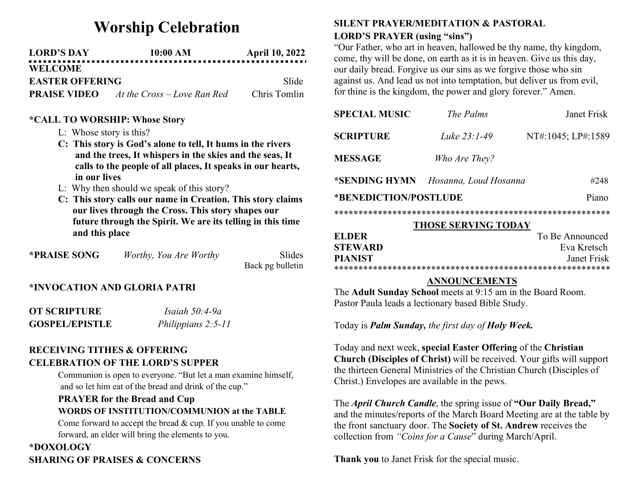# Worship Celebration

| <b>LORD'S DAY</b>      | 10:00 AM                    | <b>April 10, 2022</b> |
|------------------------|-----------------------------|-----------------------|
| <b>WELCOME</b>         |                             |                       |
| <b>EASTER OFFERING</b> |                             | -Slide                |
| <b>PRAISE VIDEO</b>    | At the Cross – Love Ran Red | Chris Tomlin          |

#### \*CALL TO WORSHIP: Whose Story

- L: Whose story is this?
- C: This story is God's alone to tell, It hums in the rivers and the trees, It whispers in the skies and the seas, It calls to the people of all places, It speaks in our hearts, in our lives
- L: Why then should we speak of this story?
- C: This story calls our name in Creation. This story claims our lives through the Cross. This story shapes our future through the Spirit. We are its telling in this time and this place

| *PRAISE SONG | Worthy, You Are Worthy | Slides           |
|--------------|------------------------|------------------|
|              |                        | Back pg bulletin |

#### \*INVOCATION AND GLORIA PATRI

| OT SCRIPTURE          | Isaiah $50:4-9a$   |
|-----------------------|--------------------|
| <b>GOSPEL/EPISTLE</b> | Philippians 2:5-11 |

### RECEIVING TITHES & OFFERING CELEBRATION OF THE LORD'S SUPPER

Communion is open to everyone. "But let a man examine himself, and so let him eat of the bread and drink of the cup."

## PRAYER for the Bread and Cup WORDS OF INSTITUTION/COMMUNION at the TABLE

Come forward to accept the bread & cup. If you unable to come forward, an elder will bring the elements to you.

## \*DOXOLOGY SHARING OF PRAISES & CONCERNS

#### SILENT PRAYER/MEDITATION & PASTORAL LORD'S PRAYER (using "sins")

"Our Father, who art in heaven, hallowed be thy name, thy kingdom, come, thy will be done, on earth as it is in heaven. Give us this day, our daily bread. Forgive us our sins as we forgive those who sin against us. And lead us not into temptation, but deliver us from evil, for thine is the kingdom, the power and glory forever." Amen.

| <b>SPECIAL MUSIC</b>           | The Palms             | Janet Frisk        |
|--------------------------------|-----------------------|--------------------|
| <b>SCRIPTURE</b>               | Luke 23:1-49          | NT#:1045; LP#:1589 |
| <b>MESSAGE</b>                 | Who Are They?         |                    |
| *SENDING HYMN                  | Hosanna, Loud Hosanna | #248               |
| *BENEDICTION/POSTLUDE<br>Piano |                       |                    |
|                                |                       |                    |
|                                | THOSE SERVING TODAY   |                    |
| <b>ELDER</b>                   |                       | To Be Announced    |
| <b>STEWARD</b>                 |                       | Eva Kretsch        |
| <b>PIANIST</b>                 |                       | Janet Frisk        |

#### \*\*\*\*\*\*\*\*\*\*\*\*\*\*\*\*\*\*\*\*\*\*\*\*\*\*\*\*\*\*\*\*\*\*\*\*\*\*\*\*\*\*\*\*\*\*\*\*\*\*\*\*\*\*\*\*\* ANNOUNCEMENTS

The Adult Sunday School meets at 9:15 am in the Board Room. Pastor Paula leads a lectionary based Bible Study.

Today is **Palm Sunday,** the first day of **Holy Week.** 

Today and next week, special Easter Offering of the Christian Church (Disciples of Christ) will be received. Your gifts will support the thirteen General Ministries of the Christian Church (Disciples of Christ.) Envelopes are available in the pews.

The April Church Candle, the spring issue of "Our Daily Bread," and the minutes/reports of the March Board Meeting are at the table by the front sanctuary door. The Society of St. Andrew receives the collection from "Coins for a Cause" during March/April.

Thank you to Janet Frisk for the special music.